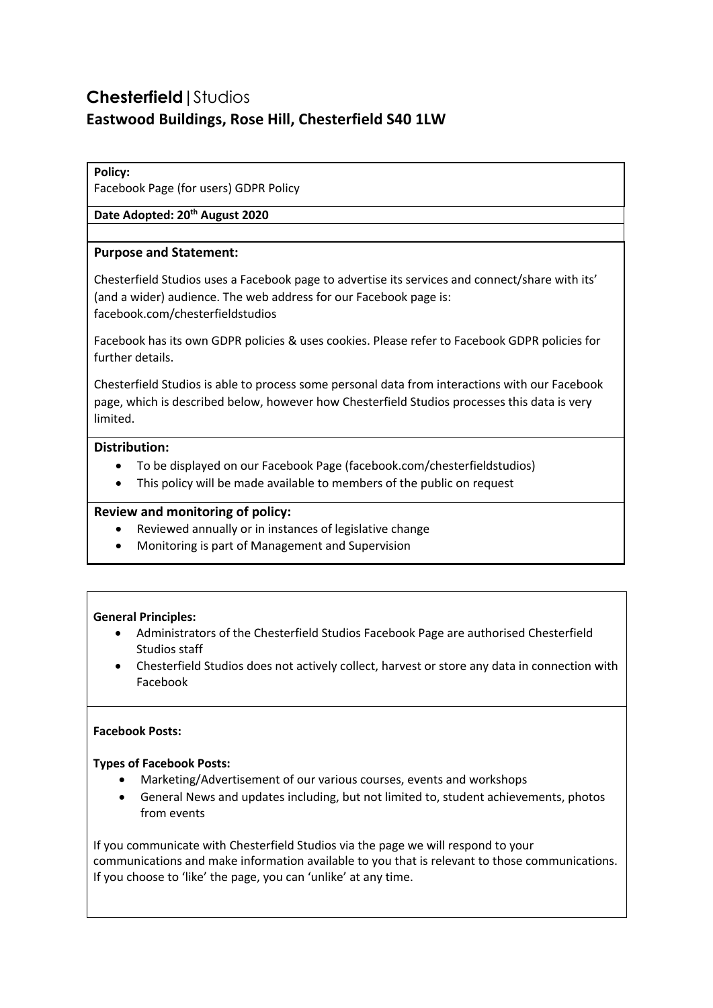# **Chesterfield|**Studios **Eastwood Buildings, Rose Hill, Chesterfield S40 1LW**

## **Policy:**

Facebook Page (for users) GDPR Policy

# **Date Adopted: 20th August 2020**

## **Purpose and Statement:**

Chesterfield Studios uses a Facebook page to advertise its services and connect/share with its' (and a wider) audience. The web address for our Facebook page is: facebook.com/chesterfieldstudios

Facebook has its own GDPR policies & uses cookies. Please refer to Facebook GDPR policies for further details.

Chesterfield Studios is able to process some personal data from interactions with our Facebook page, which is described below, however how Chesterfield Studios processes this data is very limited.

## **Distribution:**

- To be displayed on our Facebook Page (facebook.com/chesterfieldstudios)
- This policy will be made available to members of the public on request

## **Review and monitoring of policy:**

- Reviewed annually or in instances of legislative change
- Monitoring is part of Management and Supervision

#### **General Principles:**

- Administrators of the Chesterfield Studios Facebook Page are authorised Chesterfield Studios staff
- Chesterfield Studios does not actively collect, harvest or store any data in connection with Facebook

#### **Facebook Posts:**

#### **Types of Facebook Posts:**

- Marketing/Advertisement of our various courses, events and workshops
- General News and updates including, but not limited to, student achievements, photos from events

If you communicate with Chesterfield Studios via the page we will respond to your communications and make information available to you that is relevant to those communications. If you choose to 'like' the page, you can 'unlike' at any time.